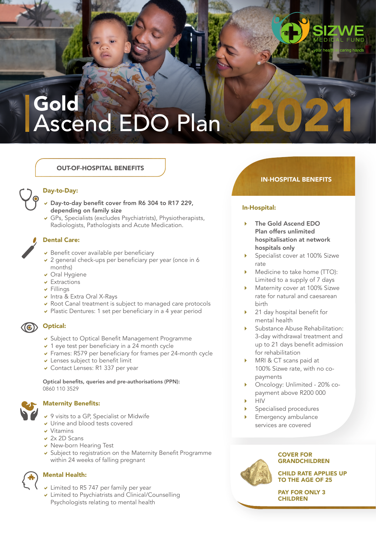# Gold Ascend EDO Plan

# OUT-OF-HOSPITAL BENEFITS



# Day-to-Day:

- $\nu$  Day-to-day benefit cover from R6 304 to R17 229, depending on family size
- $\vee$  GPs, Specialists (excludes Psychiatrists), Physiotherapists, Radiologists, Pathologists and Acute Medication.

## Dental Care:

- $\overline{\phantom{a}}$  Benefit cover available per beneficiary
- $\vee$  2 general check-ups per beneficiary per year (once in 6 months)
- v Oral Hygiene
- $\overline{\phantom{a}}$  Extractions
- $\overline{\phantom{a}}$  Fillings
- $\vee$  Intra & Extra Oral X-Rays
- $\vee$  Root Canal treatment is subject to managed care protocols
- $\vee$  Plastic Dentures: 1 set per beneficiary in a 4 year period

**(6)** Optical:

- **v** Subject to Optical Benefit Management Programme
- $\times$  1 eye test per beneficiary in a 24 month cycle
- $\triangleright$  Frames: R579 per beneficiary for frames per 24-month cycle
- $\vee$  Lenses subject to benefit limit
- $\overline{\smash{\triangleright}}$  Contact Lenses: R1 337 per year

Optical benefits, queries and pre-authorisations (PPN): 0860 110 3529

## Maternity Benefits:

- $\vee$  9 visits to a GP. Specialist or Midwife
- Urine and blood tests covered
- $V$ itamins
- $\vee$  2x 2D Scans
- $\vee$  New-born Hearing Test
- **v** Subject to registration on the Maternity Benefit Programme within 24 weeks of falling pregnant

## Mental Health:

- $\overline{\smash{\triangleright}}$  Limited to R5 747 per family per year
- $\vee$  Limited to Psychiatrists and Clinical/Counselling Psychologists relating to mental health

# IN-HOSPITAL BENEFITS

ing hande

# In-Hospital:

- The Gold Ascend EDO Plan offers unlimited hospitalisation at network hospitals only
- Specialist cover at 100% Sizwe rate
- Medicine to take home (TTO): Limited to a supply of 7 days
- Maternity cover at 100% Sizwe rate for natural and caesarean birth
- 21 day hospital benefit for mental health
- Substance Abuse Rehabilitation: 3-day withdrawal treatment and up to 21 days benefit admission for rehabilitation
- MRI & CT scans paid at 100% Sizwe rate, with no copayments
- Oncology: Unlimited 20% copayment above R200 000 HIV
- 
- Specialised procedures
- Emergency ambulance services are covered



#### COVER FOR **GRANDCHILDREN**

CHILD RATE APPLIES UP TO THE AGE OF 25

PAY FOR ONLY 3 CHILDREN